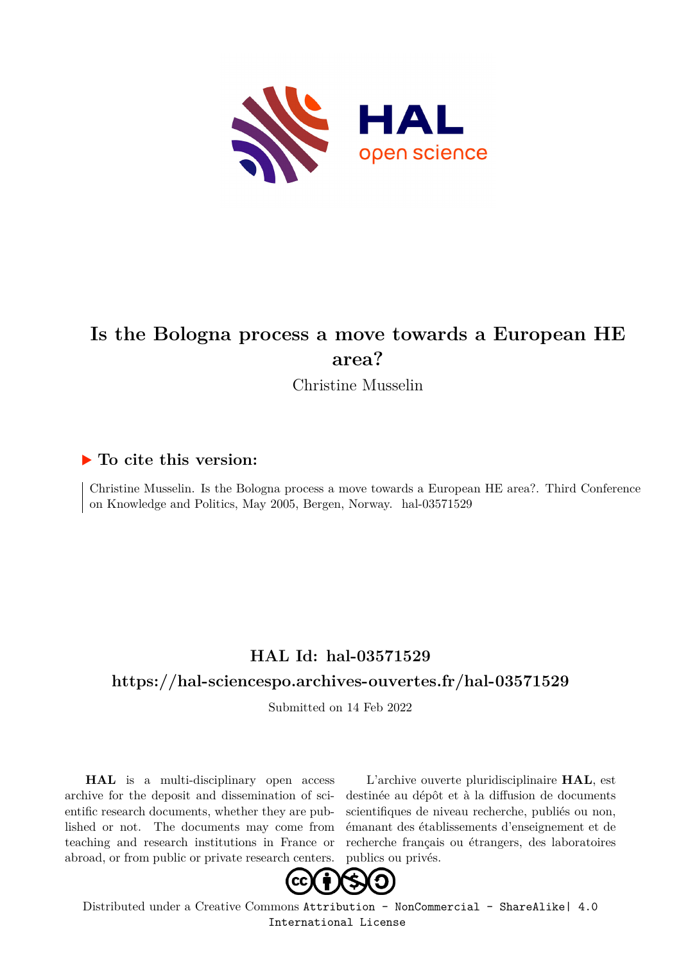

# **Is the Bologna process a move towards a European HE area?**

Christine Musselin

## **To cite this version:**

Christine Musselin. Is the Bologna process a move towards a European HE area?. Third Conference on Knowledge and Politics, May 2005, Bergen, Norway. hal-03571529

## **HAL Id: hal-03571529**

## **<https://hal-sciencespo.archives-ouvertes.fr/hal-03571529>**

Submitted on 14 Feb 2022

**HAL** is a multi-disciplinary open access archive for the deposit and dissemination of scientific research documents, whether they are published or not. The documents may come from teaching and research institutions in France or abroad, or from public or private research centers.

L'archive ouverte pluridisciplinaire **HAL**, est destinée au dépôt et à la diffusion de documents scientifiques de niveau recherche, publiés ou non, émanant des établissements d'enseignement et de recherche français ou étrangers, des laboratoires publics ou privés.



Distributed under a Creative Commons [Attribution - NonCommercial - ShareAlike| 4.0](http://creativecommons.org/licenses/by-nc-sa/4.0/) [International License](http://creativecommons.org/licenses/by-nc-sa/4.0/)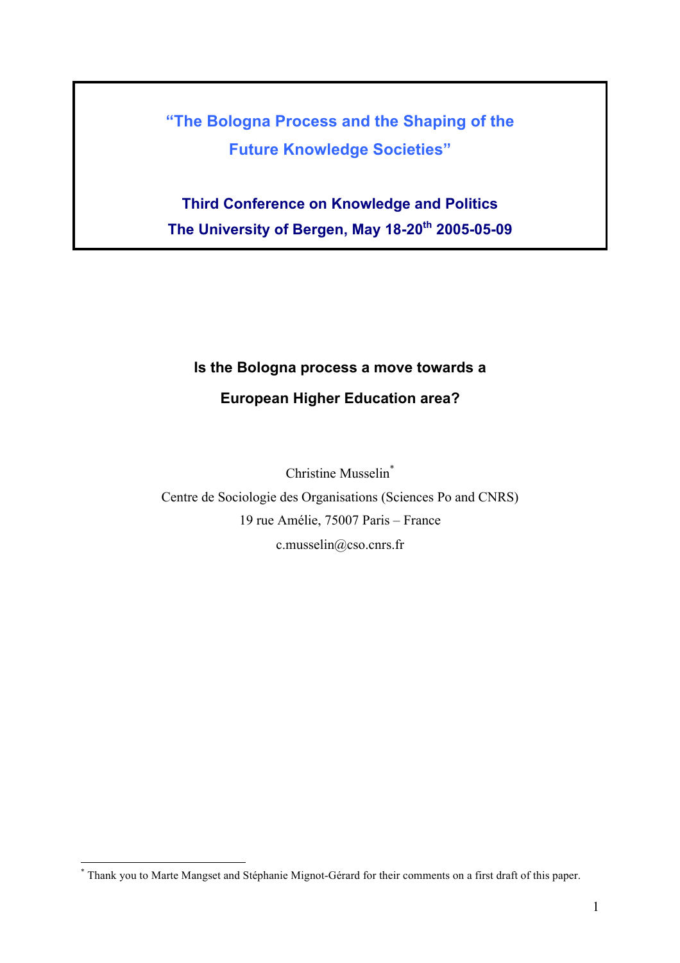**"The Bologna Process and the Shaping of the Future Knowledge Societies"**

**Third Conference on Knowledge and Politics The University of Bergen, May 18-20th 2005-05-09**

# **Is the Bologna process a move towards a European Higher Education area?**

Christine Musselin\*

Centre de Sociologie des Organisations (Sciences Po and CNRS) 19 rue Amélie, 75007 Paris – France c.musselin@cso.cnrs.fr

 <sup>\*</sup> Thank you to Marte Mangset and Stéphanie Mignot-Gérard for their comments on a first draft of this paper.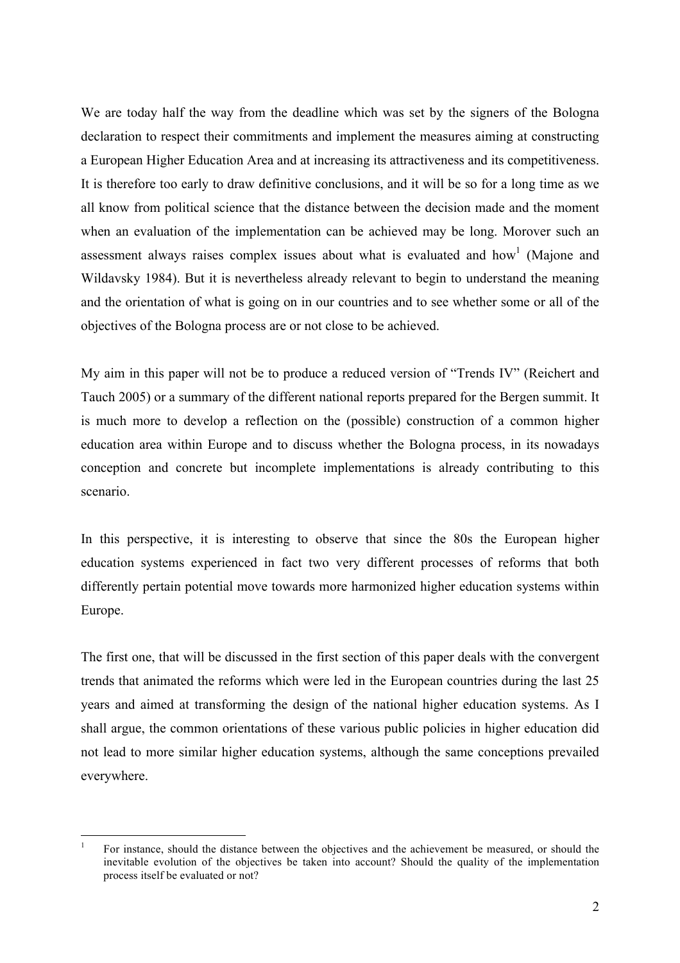We are today half the way from the deadline which was set by the signers of the Bologna declaration to respect their commitments and implement the measures aiming at constructing a European Higher Education Area and at increasing its attractiveness and its competitiveness. It is therefore too early to draw definitive conclusions, and it will be so for a long time as we all know from political science that the distance between the decision made and the moment when an evaluation of the implementation can be achieved may be long. Morover such an assessment always raises complex issues about what is evaluated and how<sup>1</sup> (Majone and Wildavsky 1984). But it is nevertheless already relevant to begin to understand the meaning and the orientation of what is going on in our countries and to see whether some or all of the objectives of the Bologna process are or not close to be achieved.

My aim in this paper will not be to produce a reduced version of "Trends IV" (Reichert and Tauch 2005) or a summary of the different national reports prepared for the Bergen summit. It is much more to develop a reflection on the (possible) construction of a common higher education area within Europe and to discuss whether the Bologna process, in its nowadays conception and concrete but incomplete implementations is already contributing to this scenario.

In this perspective, it is interesting to observe that since the 80s the European higher education systems experienced in fact two very different processes of reforms that both differently pertain potential move towards more harmonized higher education systems within Europe.

The first one, that will be discussed in the first section of this paper deals with the convergent trends that animated the reforms which were led in the European countries during the last 25 years and aimed at transforming the design of the national higher education systems. As I shall argue, the common orientations of these various public policies in higher education did not lead to more similar higher education systems, although the same conceptions prevailed everywhere.

 <sup>1</sup> For instance, should the distance between the objectives and the achievement be measured, or should the inevitable evolution of the objectives be taken into account? Should the quality of the implementation process itself be evaluated or not?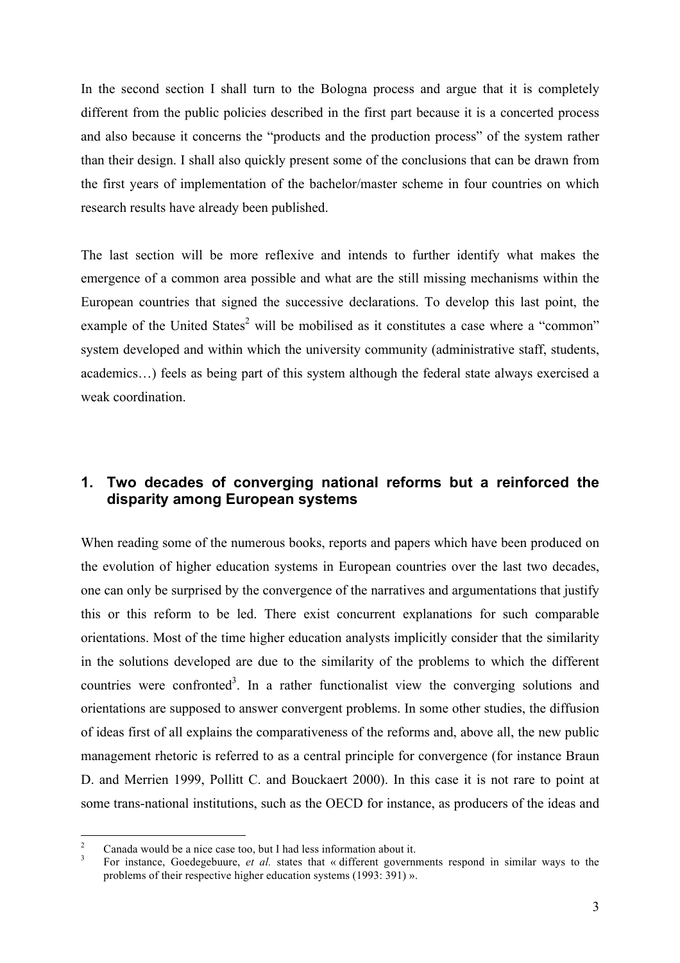In the second section I shall turn to the Bologna process and argue that it is completely different from the public policies described in the first part because it is a concerted process and also because it concerns the "products and the production process" of the system rather than their design. I shall also quickly present some of the conclusions that can be drawn from the first years of implementation of the bachelor/master scheme in four countries on which research results have already been published.

The last section will be more reflexive and intends to further identify what makes the emergence of a common area possible and what are the still missing mechanisms within the European countries that signed the successive declarations. To develop this last point, the example of the United States<sup>2</sup> will be mobilised as it constitutes a case where a "common" system developed and within which the university community (administrative staff, students, academics…) feels as being part of this system although the federal state always exercised a weak coordination.

## **1. Two decades of converging national reforms but a reinforced the disparity among European systems**

When reading some of the numerous books, reports and papers which have been produced on the evolution of higher education systems in European countries over the last two decades, one can only be surprised by the convergence of the narratives and argumentations that justify this or this reform to be led. There exist concurrent explanations for such comparable orientations. Most of the time higher education analysts implicitly consider that the similarity in the solutions developed are due to the similarity of the problems to which the different countries were confronted<sup>3</sup>. In a rather functionalist view the converging solutions and orientations are supposed to answer convergent problems. In some other studies, the diffusion of ideas first of all explains the comparativeness of the reforms and, above all, the new public management rhetoric is referred to as a central principle for convergence (for instance Braun D. and Merrien 1999, Pollitt C. and Bouckaert 2000). In this case it is not rare to point at some trans-national institutions, such as the OECD for instance, as producers of the ideas and

<sup>2</sup> Canada would be a nice case too, but I had less information about it.<br> $\frac{3}{1}$  For instance, Goedegebuure, *et al.* states that « different governments respond in similar ways to the problems of their respective higher education systems (1993: 391) ».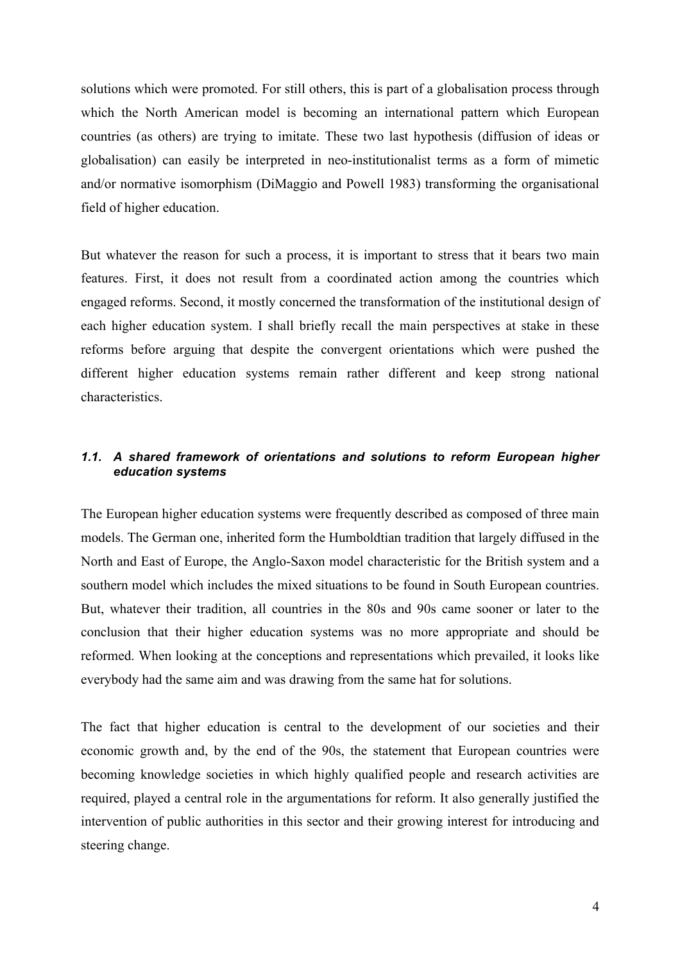solutions which were promoted. For still others, this is part of a globalisation process through which the North American model is becoming an international pattern which European countries (as others) are trying to imitate. These two last hypothesis (diffusion of ideas or globalisation) can easily be interpreted in neo-institutionalist terms as a form of mimetic and/or normative isomorphism (DiMaggio and Powell 1983) transforming the organisational field of higher education.

But whatever the reason for such a process, it is important to stress that it bears two main features. First, it does not result from a coordinated action among the countries which engaged reforms. Second, it mostly concerned the transformation of the institutional design of each higher education system. I shall briefly recall the main perspectives at stake in these reforms before arguing that despite the convergent orientations which were pushed the different higher education systems remain rather different and keep strong national characteristics.

## *1.1. A shared framework of orientations and solutions to reform European higher education systems*

The European higher education systems were frequently described as composed of three main models. The German one, inherited form the Humboldtian tradition that largely diffused in the North and East of Europe, the Anglo-Saxon model characteristic for the British system and a southern model which includes the mixed situations to be found in South European countries. But, whatever their tradition, all countries in the 80s and 90s came sooner or later to the conclusion that their higher education systems was no more appropriate and should be reformed. When looking at the conceptions and representations which prevailed, it looks like everybody had the same aim and was drawing from the same hat for solutions.

The fact that higher education is central to the development of our societies and their economic growth and, by the end of the 90s, the statement that European countries were becoming knowledge societies in which highly qualified people and research activities are required, played a central role in the argumentations for reform. It also generally justified the intervention of public authorities in this sector and their growing interest for introducing and steering change.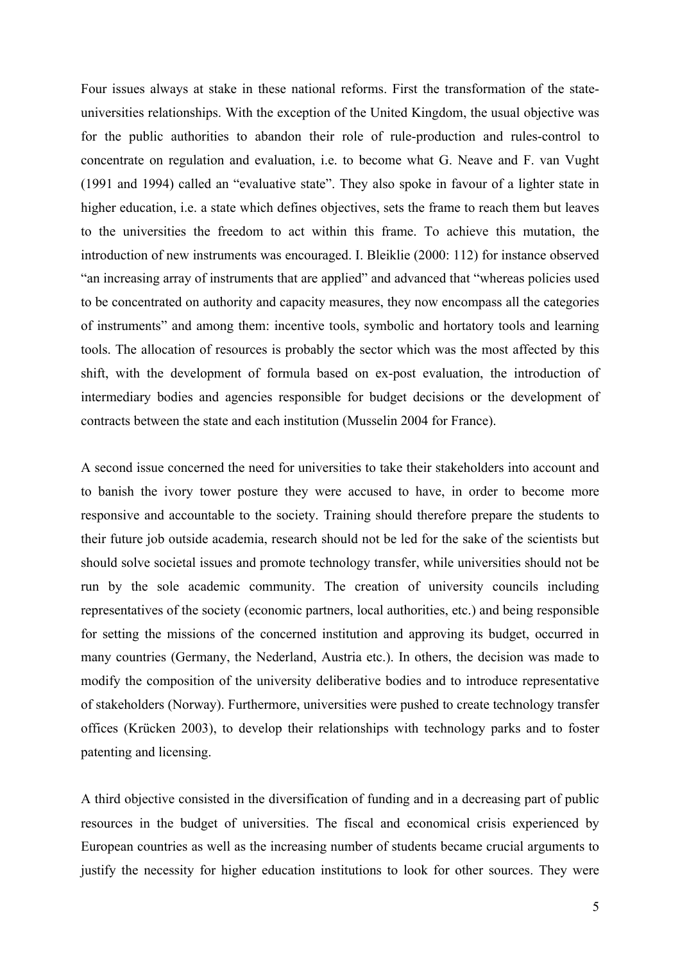Four issues always at stake in these national reforms. First the transformation of the stateuniversities relationships. With the exception of the United Kingdom, the usual objective was for the public authorities to abandon their role of rule-production and rules-control to concentrate on regulation and evaluation, i.e. to become what G. Neave and F. van Vught (1991 and 1994) called an "evaluative state". They also spoke in favour of a lighter state in higher education, i.e. a state which defines objectives, sets the frame to reach them but leaves to the universities the freedom to act within this frame. To achieve this mutation, the introduction of new instruments was encouraged. I. Bleiklie (2000: 112) for instance observed "an increasing array of instruments that are applied" and advanced that "whereas policies used to be concentrated on authority and capacity measures, they now encompass all the categories of instruments" and among them: incentive tools, symbolic and hortatory tools and learning tools. The allocation of resources is probably the sector which was the most affected by this shift, with the development of formula based on ex-post evaluation, the introduction of intermediary bodies and agencies responsible for budget decisions or the development of contracts between the state and each institution (Musselin 2004 for France).

A second issue concerned the need for universities to take their stakeholders into account and to banish the ivory tower posture they were accused to have, in order to become more responsive and accountable to the society. Training should therefore prepare the students to their future job outside academia, research should not be led for the sake of the scientists but should solve societal issues and promote technology transfer, while universities should not be run by the sole academic community. The creation of university councils including representatives of the society (economic partners, local authorities, etc.) and being responsible for setting the missions of the concerned institution and approving its budget, occurred in many countries (Germany, the Nederland, Austria etc.). In others, the decision was made to modify the composition of the university deliberative bodies and to introduce representative of stakeholders (Norway). Furthermore, universities were pushed to create technology transfer offices (Krücken 2003), to develop their relationships with technology parks and to foster patenting and licensing.

A third objective consisted in the diversification of funding and in a decreasing part of public resources in the budget of universities. The fiscal and economical crisis experienced by European countries as well as the increasing number of students became crucial arguments to justify the necessity for higher education institutions to look for other sources. They were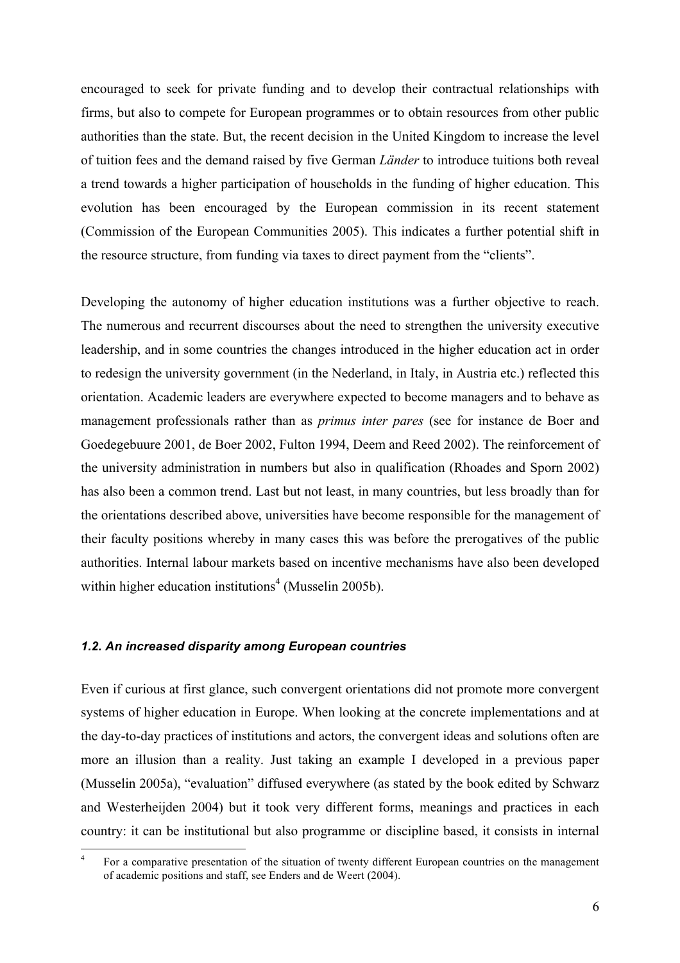encouraged to seek for private funding and to develop their contractual relationships with firms, but also to compete for European programmes or to obtain resources from other public authorities than the state. But, the recent decision in the United Kingdom to increase the level of tuition fees and the demand raised by five German *Länder* to introduce tuitions both reveal a trend towards a higher participation of households in the funding of higher education. This evolution has been encouraged by the European commission in its recent statement (Commission of the European Communities 2005). This indicates a further potential shift in the resource structure, from funding via taxes to direct payment from the "clients".

Developing the autonomy of higher education institutions was a further objective to reach. The numerous and recurrent discourses about the need to strengthen the university executive leadership, and in some countries the changes introduced in the higher education act in order to redesign the university government (in the Nederland, in Italy, in Austria etc.) reflected this orientation. Academic leaders are everywhere expected to become managers and to behave as management professionals rather than as *primus inter pares* (see for instance de Boer and Goedegebuure 2001, de Boer 2002, Fulton 1994, Deem and Reed 2002). The reinforcement of the university administration in numbers but also in qualification (Rhoades and Sporn 2002) has also been a common trend. Last but not least, in many countries, but less broadly than for the orientations described above, universities have become responsible for the management of their faculty positions whereby in many cases this was before the prerogatives of the public authorities. Internal labour markets based on incentive mechanisms have also been developed within higher education institutions<sup>4</sup> (Musselin 2005b).

## *1.2. An increased disparity among European countries*

Even if curious at first glance, such convergent orientations did not promote more convergent systems of higher education in Europe. When looking at the concrete implementations and at the day-to-day practices of institutions and actors, the convergent ideas and solutions often are more an illusion than a reality. Just taking an example I developed in a previous paper (Musselin 2005a), "evaluation" diffused everywhere (as stated by the book edited by Schwarz and Westerheijden 2004) but it took very different forms, meanings and practices in each country: it can be institutional but also programme or discipline based, it consists in internal

 <sup>4</sup> For a comparative presentation of the situation of twenty different European countries on the management of academic positions and staff, see Enders and de Weert (2004).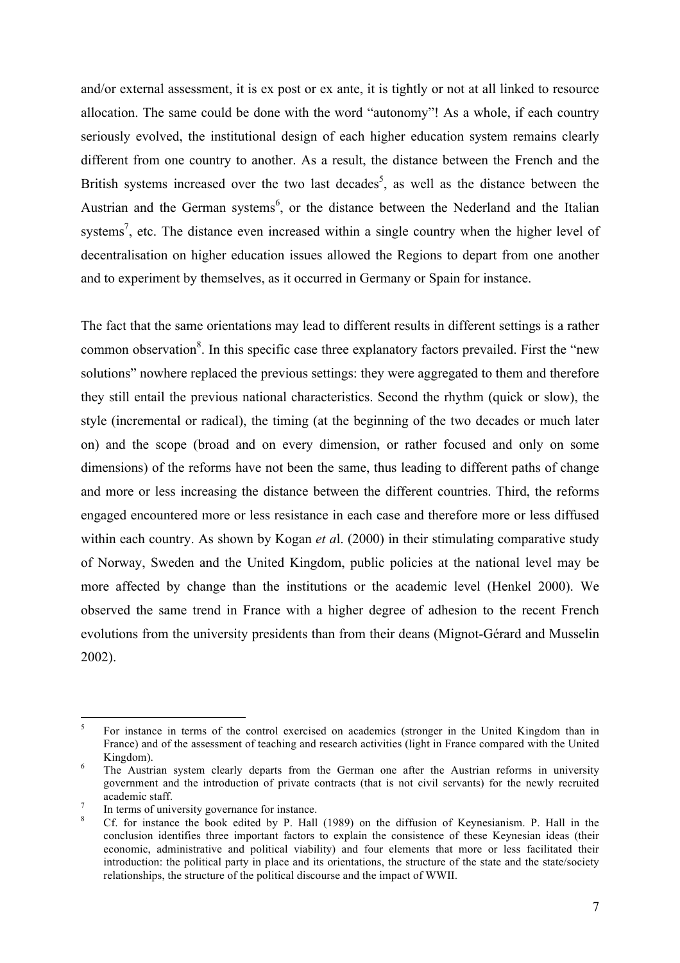and/or external assessment, it is ex post or ex ante, it is tightly or not at all linked to resource allocation. The same could be done with the word "autonomy"! As a whole, if each country seriously evolved, the institutional design of each higher education system remains clearly different from one country to another. As a result, the distance between the French and the British systems increased over the two last decades<sup>5</sup>, as well as the distance between the Austrian and the German systems<sup>6</sup>, or the distance between the Nederland and the Italian systems<sup>7</sup>, etc. The distance even increased within a single country when the higher level of decentralisation on higher education issues allowed the Regions to depart from one another and to experiment by themselves, as it occurred in Germany or Spain for instance.

The fact that the same orientations may lead to different results in different settings is a rather common observation<sup>8</sup>. In this specific case three explanatory factors prevailed. First the "new solutions" nowhere replaced the previous settings: they were aggregated to them and therefore they still entail the previous national characteristics. Second the rhythm (quick or slow), the style (incremental or radical), the timing (at the beginning of the two decades or much later on) and the scope (broad and on every dimension, or rather focused and only on some dimensions) of the reforms have not been the same, thus leading to different paths of change and more or less increasing the distance between the different countries. Third, the reforms engaged encountered more or less resistance in each case and therefore more or less diffused within each country. As shown by Kogan *et a*l. (2000) in their stimulating comparative study of Norway, Sweden and the United Kingdom, public policies at the national level may be more affected by change than the institutions or the academic level (Henkel 2000). We observed the same trend in France with a higher degree of adhesion to the recent French evolutions from the university presidents than from their deans (Mignot-Gérard and Musselin 2002).

<sup>&</sup>lt;sup>5</sup> For instance in terms of the control exercised on academics (stronger in the United Kingdom than in France) and of the assessment of teaching and research activities (light in France compared with the United Kingdom).<br><sup>6</sup> The Austrian system clearly departs from the German one after the Austrian reforms in university

government and the introduction of private contracts (that is not civil servants) for the newly recruited academic staff.<br>
<sup>7</sup> In terms of university governance for instance.<br>
<sup>8</sup> Cf. for instance the book edited by P. Hall (1989) on the diffusion of Keynesianism. P. Hall in the

conclusion identifies three important factors to explain the consistence of these Keynesian ideas (their economic, administrative and political viability) and four elements that more or less facilitated their introduction: the political party in place and its orientations, the structure of the state and the state/society relationships, the structure of the political discourse and the impact of WWII.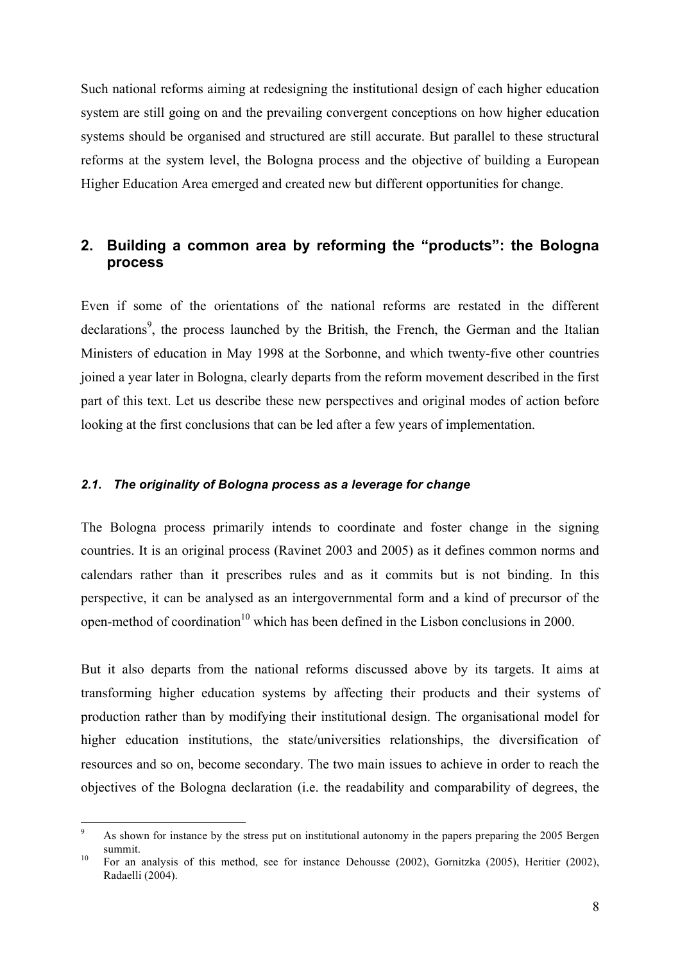Such national reforms aiming at redesigning the institutional design of each higher education system are still going on and the prevailing convergent conceptions on how higher education systems should be organised and structured are still accurate. But parallel to these structural reforms at the system level, the Bologna process and the objective of building a European Higher Education Area emerged and created new but different opportunities for change.

## **2. Building a common area by reforming the "products": the Bologna process**

Even if some of the orientations of the national reforms are restated in the different declarations<sup>9</sup>, the process launched by the British, the French, the German and the Italian Ministers of education in May 1998 at the Sorbonne, and which twenty-five other countries joined a year later in Bologna, clearly departs from the reform movement described in the first part of this text. Let us describe these new perspectives and original modes of action before looking at the first conclusions that can be led after a few years of implementation.

#### *2.1. The originality of Bologna process as a leverage for change*

The Bologna process primarily intends to coordinate and foster change in the signing countries. It is an original process (Ravinet 2003 and 2005) as it defines common norms and calendars rather than it prescribes rules and as it commits but is not binding. In this perspective, it can be analysed as an intergovernmental form and a kind of precursor of the open-method of coordination<sup>10</sup> which has been defined in the Lisbon conclusions in 2000.

But it also departs from the national reforms discussed above by its targets. It aims at transforming higher education systems by affecting their products and their systems of production rather than by modifying their institutional design. The organisational model for higher education institutions, the state/universities relationships, the diversification of resources and so on, become secondary. The two main issues to achieve in order to reach the objectives of the Bologna declaration (i.e. the readability and comparability of degrees, the

<sup>&</sup>lt;sup>9</sup> As shown for instance by the stress put on institutional autonomy in the papers preparing the 2005 Bergen summit.<br><sup>10</sup> For an analysis of this method, see for instance Dehousse (2002), Gornitzka (2005), Heritier (2002),

Radaelli (2004).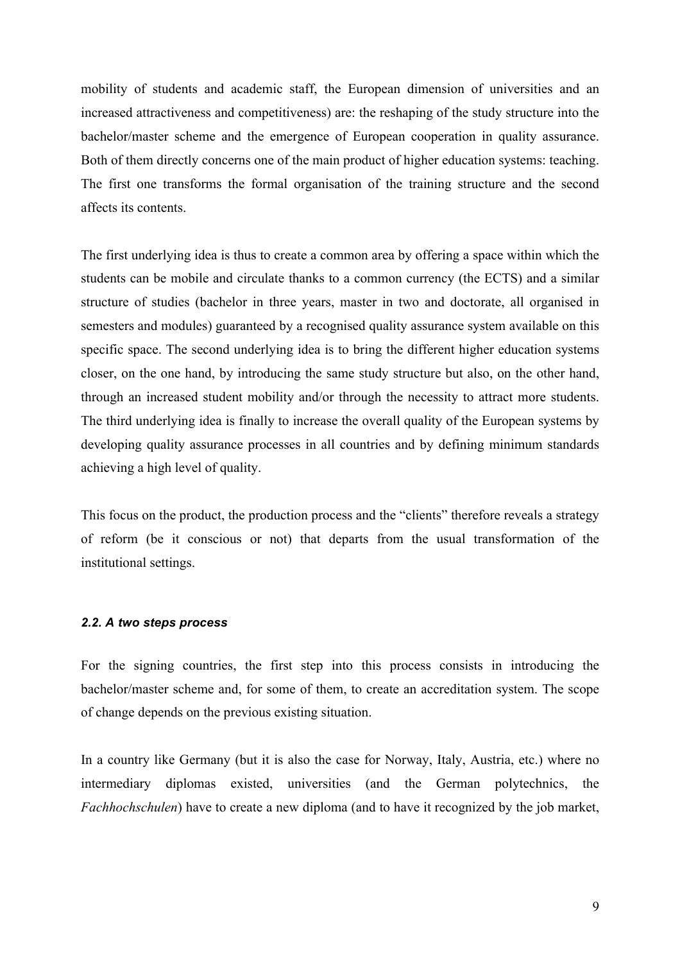mobility of students and academic staff, the European dimension of universities and an increased attractiveness and competitiveness) are: the reshaping of the study structure into the bachelor/master scheme and the emergence of European cooperation in quality assurance. Both of them directly concerns one of the main product of higher education systems: teaching. The first one transforms the formal organisation of the training structure and the second affects its contents.

The first underlying idea is thus to create a common area by offering a space within which the students can be mobile and circulate thanks to a common currency (the ECTS) and a similar structure of studies (bachelor in three years, master in two and doctorate, all organised in semesters and modules) guaranteed by a recognised quality assurance system available on this specific space. The second underlying idea is to bring the different higher education systems closer, on the one hand, by introducing the same study structure but also, on the other hand, through an increased student mobility and/or through the necessity to attract more students. The third underlying idea is finally to increase the overall quality of the European systems by developing quality assurance processes in all countries and by defining minimum standards achieving a high level of quality.

This focus on the product, the production process and the "clients" therefore reveals a strategy of reform (be it conscious or not) that departs from the usual transformation of the institutional settings.

#### *2.2. A two steps process*

For the signing countries, the first step into this process consists in introducing the bachelor/master scheme and, for some of them, to create an accreditation system. The scope of change depends on the previous existing situation.

In a country like Germany (but it is also the case for Norway, Italy, Austria, etc.) where no intermediary diplomas existed, universities (and the German polytechnics, the *Fachhochschulen*) have to create a new diploma (and to have it recognized by the job market,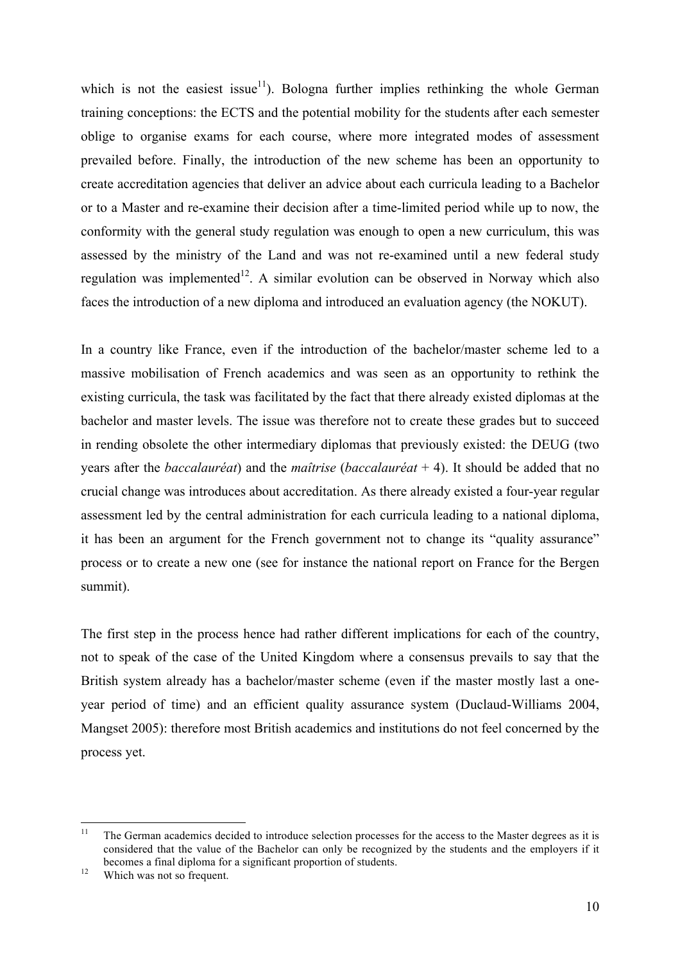which is not the easiest issue<sup>11</sup>). Bologna further implies rethinking the whole German training conceptions: the ECTS and the potential mobility for the students after each semester oblige to organise exams for each course, where more integrated modes of assessment prevailed before. Finally, the introduction of the new scheme has been an opportunity to create accreditation agencies that deliver an advice about each curricula leading to a Bachelor or to a Master and re-examine their decision after a time-limited period while up to now, the conformity with the general study regulation was enough to open a new curriculum, this was assessed by the ministry of the Land and was not re-examined until a new federal study regulation was implemented<sup>12</sup>. A similar evolution can be observed in Norway which also faces the introduction of a new diploma and introduced an evaluation agency (the NOKUT).

In a country like France, even if the introduction of the bachelor/master scheme led to a massive mobilisation of French academics and was seen as an opportunity to rethink the existing curricula, the task was facilitated by the fact that there already existed diplomas at the bachelor and master levels. The issue was therefore not to create these grades but to succeed in rending obsolete the other intermediary diplomas that previously existed: the DEUG (two years after the *baccalauréat*) and the *maîtrise* (*baccalauréat* + 4). It should be added that no crucial change was introduces about accreditation. As there already existed a four-year regular assessment led by the central administration for each curricula leading to a national diploma, it has been an argument for the French government not to change its "quality assurance" process or to create a new one (see for instance the national report on France for the Bergen summit).

The first step in the process hence had rather different implications for each of the country, not to speak of the case of the United Kingdom where a consensus prevails to say that the British system already has a bachelor/master scheme (even if the master mostly last a oneyear period of time) and an efficient quality assurance system (Duclaud-Williams 2004, Mangset 2005): therefore most British academics and institutions do not feel concerned by the process yet.

<sup>&</sup>lt;sup>11</sup> The German academics decided to introduce selection processes for the access to the Master degrees as it is considered that the value of the Bachelor can only be recognized by the students and the employers if it becomes a final diploma for a significant proportion of students.<br><sup>12</sup> Which was not so frequent.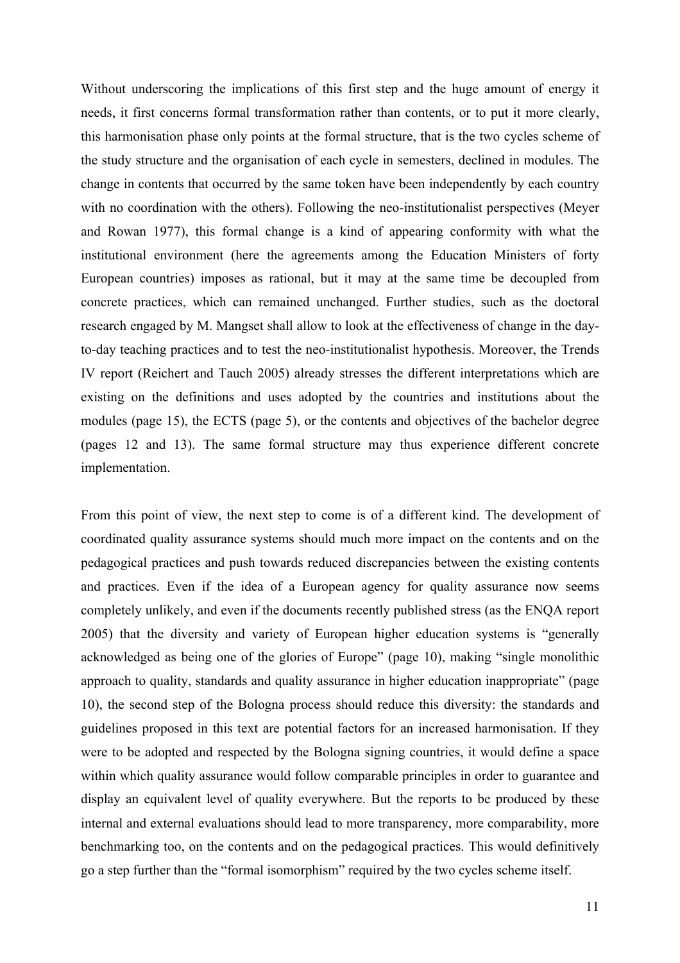Without underscoring the implications of this first step and the huge amount of energy it needs, it first concerns formal transformation rather than contents, or to put it more clearly, this harmonisation phase only points at the formal structure, that is the two cycles scheme of the study structure and the organisation of each cycle in semesters, declined in modules. The change in contents that occurred by the same token have been independently by each country with no coordination with the others). Following the neo-institutionalist perspectives (Meyer and Rowan 1977), this formal change is a kind of appearing conformity with what the institutional environment (here the agreements among the Education Ministers of forty European countries) imposes as rational, but it may at the same time be decoupled from concrete practices, which can remained unchanged. Further studies, such as the doctoral research engaged by M. Mangset shall allow to look at the effectiveness of change in the dayto-day teaching practices and to test the neo-institutionalist hypothesis. Moreover, the Trends IV report (Reichert and Tauch 2005) already stresses the different interpretations which are existing on the definitions and uses adopted by the countries and institutions about the modules (page 15), the ECTS (page 5), or the contents and objectives of the bachelor degree (pages 12 and 13). The same formal structure may thus experience different concrete implementation.

From this point of view, the next step to come is of a different kind. The development of coordinated quality assurance systems should much more impact on the contents and on the pedagogical practices and push towards reduced discrepancies between the existing contents and practices. Even if the idea of a European agency for quality assurance now seems completely unlikely, and even if the documents recently published stress (as the ENQA report 2005) that the diversity and variety of European higher education systems is "generally acknowledged as being one of the glories of Europe" (page 10), making "single monolithic approach to quality, standards and quality assurance in higher education inappropriate" (page 10), the second step of the Bologna process should reduce this diversity: the standards and guidelines proposed in this text are potential factors for an increased harmonisation. If they were to be adopted and respected by the Bologna signing countries, it would define a space within which quality assurance would follow comparable principles in order to guarantee and display an equivalent level of quality everywhere. But the reports to be produced by these internal and external evaluations should lead to more transparency, more comparability, more benchmarking too, on the contents and on the pedagogical practices. This would definitively go a step further than the "formal isomorphism" required by the two cycles scheme itself.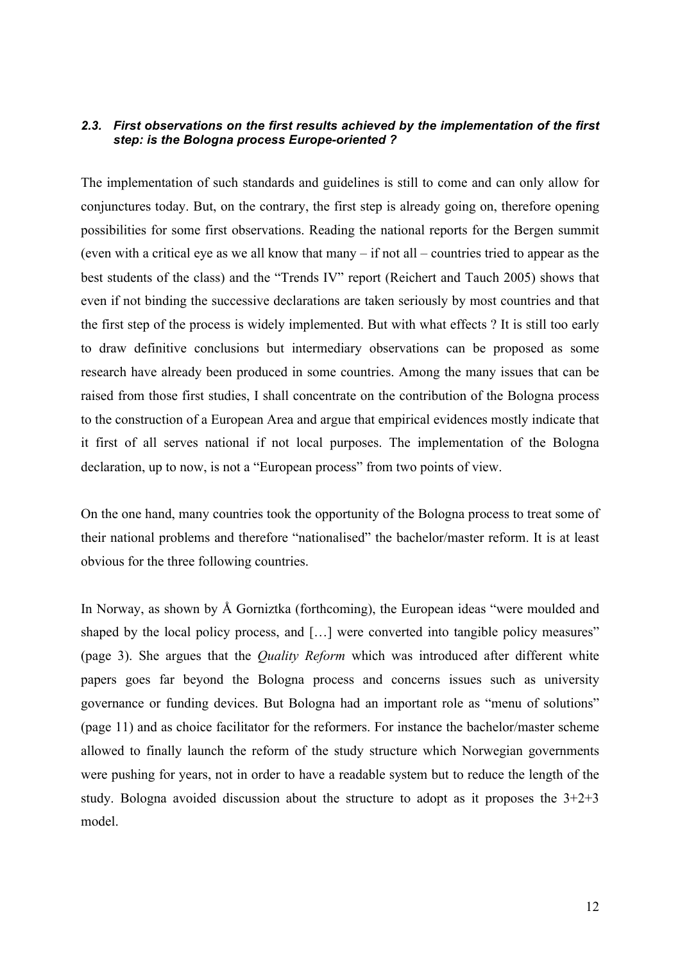### *2.3. First observations on the first results achieved by the implementation of the first step: is the Bologna process Europe-oriented ?*

The implementation of such standards and guidelines is still to come and can only allow for conjunctures today. But, on the contrary, the first step is already going on, therefore opening possibilities for some first observations. Reading the national reports for the Bergen summit (even with a critical eye as we all know that many – if not all – countries tried to appear as the best students of the class) and the "Trends IV" report (Reichert and Tauch 2005) shows that even if not binding the successive declarations are taken seriously by most countries and that the first step of the process is widely implemented. But with what effects ? It is still too early to draw definitive conclusions but intermediary observations can be proposed as some research have already been produced in some countries. Among the many issues that can be raised from those first studies, I shall concentrate on the contribution of the Bologna process to the construction of a European Area and argue that empirical evidences mostly indicate that it first of all serves national if not local purposes. The implementation of the Bologna declaration, up to now, is not a "European process" from two points of view.

On the one hand, many countries took the opportunity of the Bologna process to treat some of their national problems and therefore "nationalised" the bachelor/master reform. It is at least obvious for the three following countries.

In Norway, as shown by Å Gorniztka (forthcoming), the European ideas "were moulded and shaped by the local policy process, and [...] were converted into tangible policy measures" (page 3). She argues that the *Quality Reform* which was introduced after different white papers goes far beyond the Bologna process and concerns issues such as university governance or funding devices. But Bologna had an important role as "menu of solutions" (page 11) and as choice facilitator for the reformers. For instance the bachelor/master scheme allowed to finally launch the reform of the study structure which Norwegian governments were pushing for years, not in order to have a readable system but to reduce the length of the study. Bologna avoided discussion about the structure to adopt as it proposes the  $3+2+3$ model.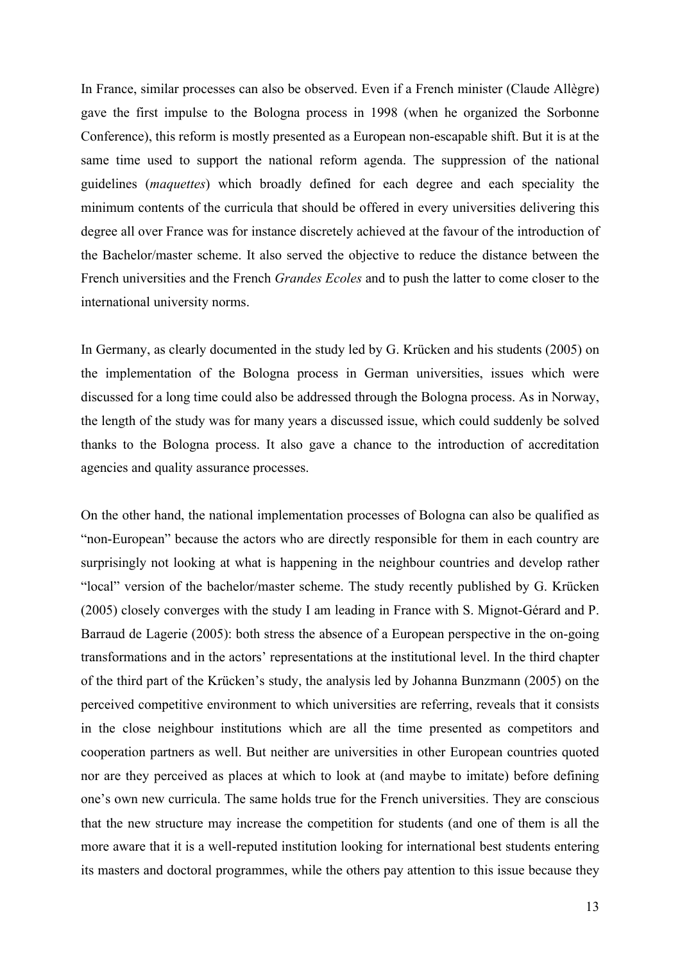In France, similar processes can also be observed. Even if a French minister (Claude Allègre) gave the first impulse to the Bologna process in 1998 (when he organized the Sorbonne Conference), this reform is mostly presented as a European non-escapable shift. But it is at the same time used to support the national reform agenda. The suppression of the national guidelines (*maquettes*) which broadly defined for each degree and each speciality the minimum contents of the curricula that should be offered in every universities delivering this degree all over France was for instance discretely achieved at the favour of the introduction of the Bachelor/master scheme. It also served the objective to reduce the distance between the French universities and the French *Grandes Ecoles* and to push the latter to come closer to the international university norms.

In Germany, as clearly documented in the study led by G. Krücken and his students (2005) on the implementation of the Bologna process in German universities, issues which were discussed for a long time could also be addressed through the Bologna process. As in Norway, the length of the study was for many years a discussed issue, which could suddenly be solved thanks to the Bologna process. It also gave a chance to the introduction of accreditation agencies and quality assurance processes.

On the other hand, the national implementation processes of Bologna can also be qualified as "non-European" because the actors who are directly responsible for them in each country are surprisingly not looking at what is happening in the neighbour countries and develop rather "local" version of the bachelor/master scheme. The study recently published by G. Krücken (2005) closely converges with the study I am leading in France with S. Mignot-Gérard and P. Barraud de Lagerie (2005): both stress the absence of a European perspective in the on-going transformations and in the actors' representations at the institutional level. In the third chapter of the third part of the Krücken's study, the analysis led by Johanna Bunzmann (2005) on the perceived competitive environment to which universities are referring, reveals that it consists in the close neighbour institutions which are all the time presented as competitors and cooperation partners as well. But neither are universities in other European countries quoted nor are they perceived as places at which to look at (and maybe to imitate) before defining one's own new curricula. The same holds true for the French universities. They are conscious that the new structure may increase the competition for students (and one of them is all the more aware that it is a well-reputed institution looking for international best students entering its masters and doctoral programmes, while the others pay attention to this issue because they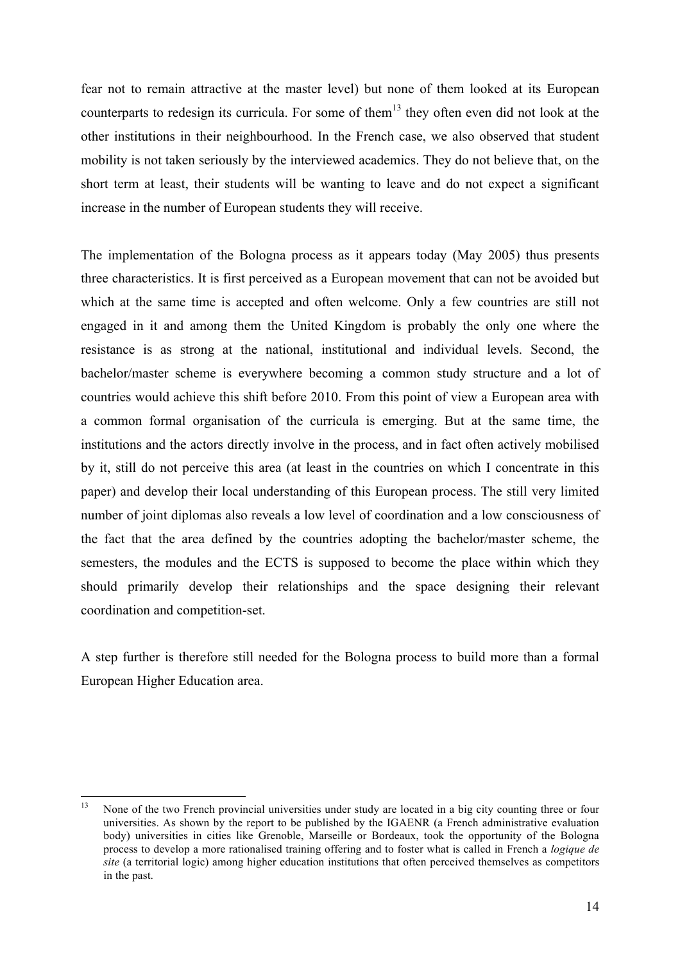fear not to remain attractive at the master level) but none of them looked at its European counterparts to redesign its curricula. For some of them<sup>13</sup> they often even did not look at the other institutions in their neighbourhood. In the French case, we also observed that student mobility is not taken seriously by the interviewed academics. They do not believe that, on the short term at least, their students will be wanting to leave and do not expect a significant increase in the number of European students they will receive.

The implementation of the Bologna process as it appears today (May 2005) thus presents three characteristics. It is first perceived as a European movement that can not be avoided but which at the same time is accepted and often welcome. Only a few countries are still not engaged in it and among them the United Kingdom is probably the only one where the resistance is as strong at the national, institutional and individual levels. Second, the bachelor/master scheme is everywhere becoming a common study structure and a lot of countries would achieve this shift before 2010. From this point of view a European area with a common formal organisation of the curricula is emerging. But at the same time, the institutions and the actors directly involve in the process, and in fact often actively mobilised by it, still do not perceive this area (at least in the countries on which I concentrate in this paper) and develop their local understanding of this European process. The still very limited number of joint diplomas also reveals a low level of coordination and a low consciousness of the fact that the area defined by the countries adopting the bachelor/master scheme, the semesters, the modules and the ECTS is supposed to become the place within which they should primarily develop their relationships and the space designing their relevant coordination and competition-set.

A step further is therefore still needed for the Bologna process to build more than a formal European Higher Education area.

<sup>&</sup>lt;sup>13</sup> None of the two French provincial universities under study are located in a big city counting three or four universities. As shown by the report to be published by the IGAENR (a French administrative evaluation body) universities in cities like Grenoble, Marseille or Bordeaux, took the opportunity of the Bologna process to develop a more rationalised training offering and to foster what is called in French a *logique de site* (a territorial logic) among higher education institutions that often perceived themselves as competitors in the past.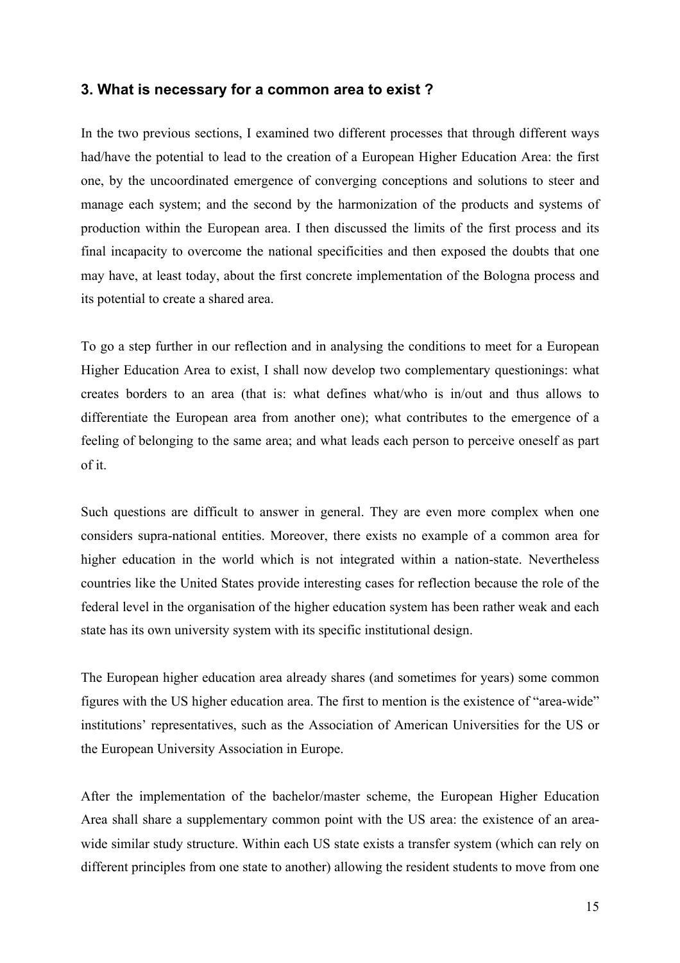## **3. What is necessary for a common area to exist ?**

In the two previous sections, I examined two different processes that through different ways had/have the potential to lead to the creation of a European Higher Education Area: the first one, by the uncoordinated emergence of converging conceptions and solutions to steer and manage each system; and the second by the harmonization of the products and systems of production within the European area. I then discussed the limits of the first process and its final incapacity to overcome the national specificities and then exposed the doubts that one may have, at least today, about the first concrete implementation of the Bologna process and its potential to create a shared area.

To go a step further in our reflection and in analysing the conditions to meet for a European Higher Education Area to exist, I shall now develop two complementary questionings: what creates borders to an area (that is: what defines what/who is in/out and thus allows to differentiate the European area from another one); what contributes to the emergence of a feeling of belonging to the same area; and what leads each person to perceive oneself as part of it.

Such questions are difficult to answer in general. They are even more complex when one considers supra-national entities. Moreover, there exists no example of a common area for higher education in the world which is not integrated within a nation-state. Nevertheless countries like the United States provide interesting cases for reflection because the role of the federal level in the organisation of the higher education system has been rather weak and each state has its own university system with its specific institutional design.

The European higher education area already shares (and sometimes for years) some common figures with the US higher education area. The first to mention is the existence of "area-wide" institutions' representatives, such as the Association of American Universities for the US or the European University Association in Europe.

After the implementation of the bachelor/master scheme, the European Higher Education Area shall share a supplementary common point with the US area: the existence of an areawide similar study structure. Within each US state exists a transfer system (which can rely on different principles from one state to another) allowing the resident students to move from one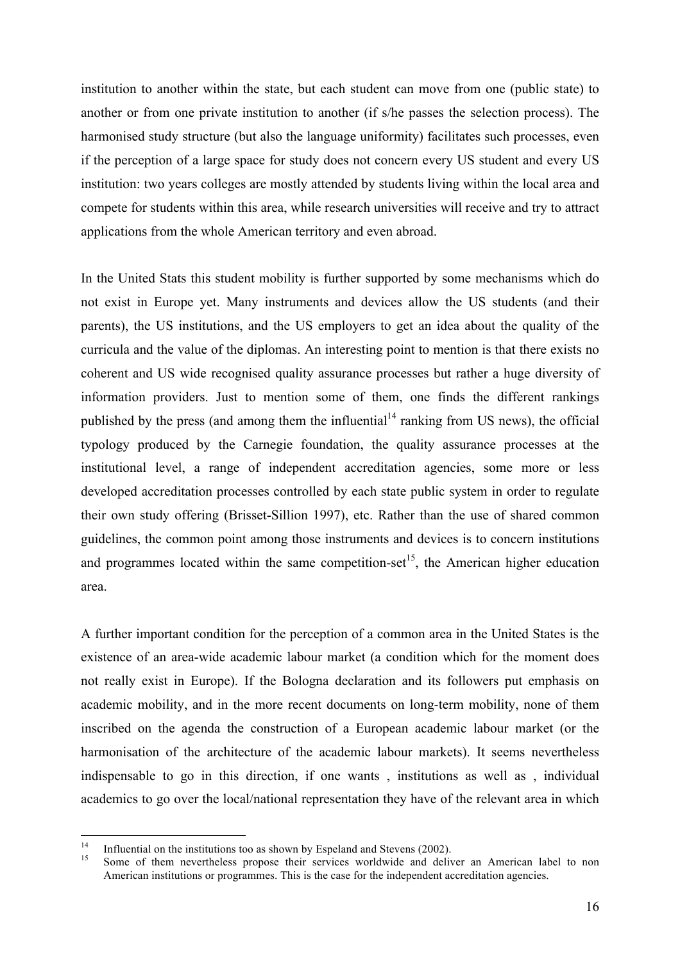institution to another within the state, but each student can move from one (public state) to another or from one private institution to another (if s/he passes the selection process). The harmonised study structure (but also the language uniformity) facilitates such processes, even if the perception of a large space for study does not concern every US student and every US institution: two years colleges are mostly attended by students living within the local area and compete for students within this area, while research universities will receive and try to attract applications from the whole American territory and even abroad.

In the United Stats this student mobility is further supported by some mechanisms which do not exist in Europe yet. Many instruments and devices allow the US students (and their parents), the US institutions, and the US employers to get an idea about the quality of the curricula and the value of the diplomas. An interesting point to mention is that there exists no coherent and US wide recognised quality assurance processes but rather a huge diversity of information providers. Just to mention some of them, one finds the different rankings published by the press (and among them the influential<sup>14</sup> ranking from US news), the official typology produced by the Carnegie foundation, the quality assurance processes at the institutional level, a range of independent accreditation agencies, some more or less developed accreditation processes controlled by each state public system in order to regulate their own study offering (Brisset-Sillion 1997), etc. Rather than the use of shared common guidelines, the common point among those instruments and devices is to concern institutions and programmes located within the same competition-set<sup>15</sup>, the American higher education area.

A further important condition for the perception of a common area in the United States is the existence of an area-wide academic labour market (a condition which for the moment does not really exist in Europe). If the Bologna declaration and its followers put emphasis on academic mobility, and in the more recent documents on long-term mobility, none of them inscribed on the agenda the construction of a European academic labour market (or the harmonisation of the architecture of the academic labour markets). It seems nevertheless indispensable to go in this direction, if one wants , institutions as well as , individual academics to go over the local/national representation they have of the relevant area in which

<sup>14</sup> Influential on the institutions too as shown by Espeland and Stevens (2002).<br>
15 Some of them nevertheless propose their services worldwide and deliver an American label to non American institutions or programmes. This is the case for the independent accreditation agencies.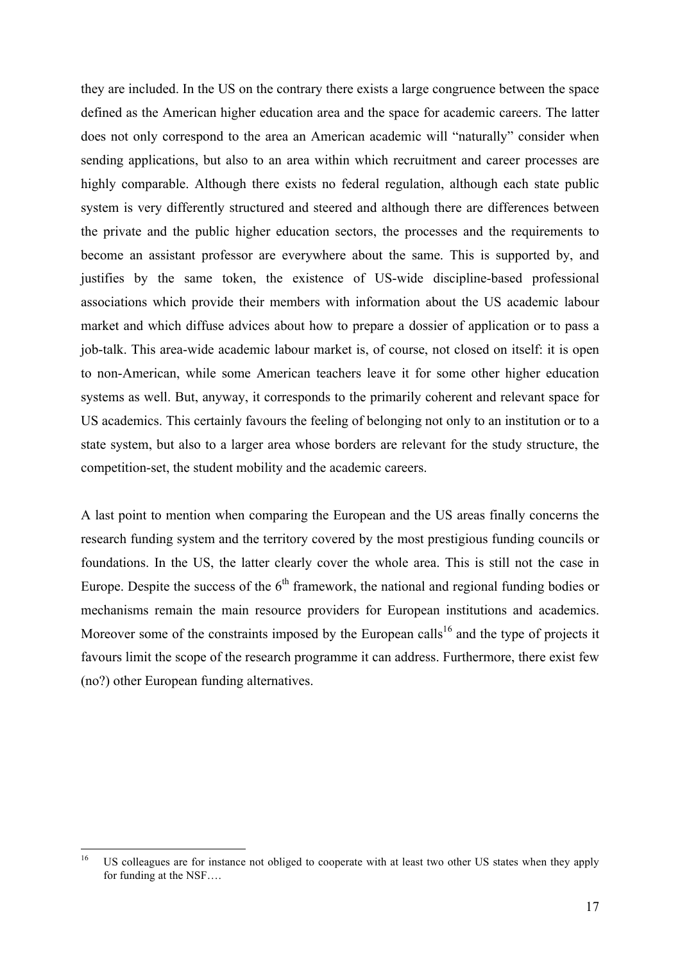they are included. In the US on the contrary there exists a large congruence between the space defined as the American higher education area and the space for academic careers. The latter does not only correspond to the area an American academic will "naturally" consider when sending applications, but also to an area within which recruitment and career processes are highly comparable. Although there exists no federal regulation, although each state public system is very differently structured and steered and although there are differences between the private and the public higher education sectors, the processes and the requirements to become an assistant professor are everywhere about the same. This is supported by, and justifies by the same token, the existence of US-wide discipline-based professional associations which provide their members with information about the US academic labour market and which diffuse advices about how to prepare a dossier of application or to pass a job-talk. This area-wide academic labour market is, of course, not closed on itself: it is open to non-American, while some American teachers leave it for some other higher education systems as well. But, anyway, it corresponds to the primarily coherent and relevant space for US academics. This certainly favours the feeling of belonging not only to an institution or to a state system, but also to a larger area whose borders are relevant for the study structure, the competition-set, the student mobility and the academic careers.

A last point to mention when comparing the European and the US areas finally concerns the research funding system and the territory covered by the most prestigious funding councils or foundations. In the US, the latter clearly cover the whole area. This is still not the case in Europe. Despite the success of the  $6<sup>th</sup>$  framework, the national and regional funding bodies or mechanisms remain the main resource providers for European institutions and academics. Moreover some of the constraints imposed by the European calls<sup>16</sup> and the type of projects it favours limit the scope of the research programme it can address. Furthermore, there exist few (no?) other European funding alternatives.

<sup>&</sup>lt;sup>16</sup> US colleagues are for instance not obliged to cooperate with at least two other US states when they apply for funding at the NSF….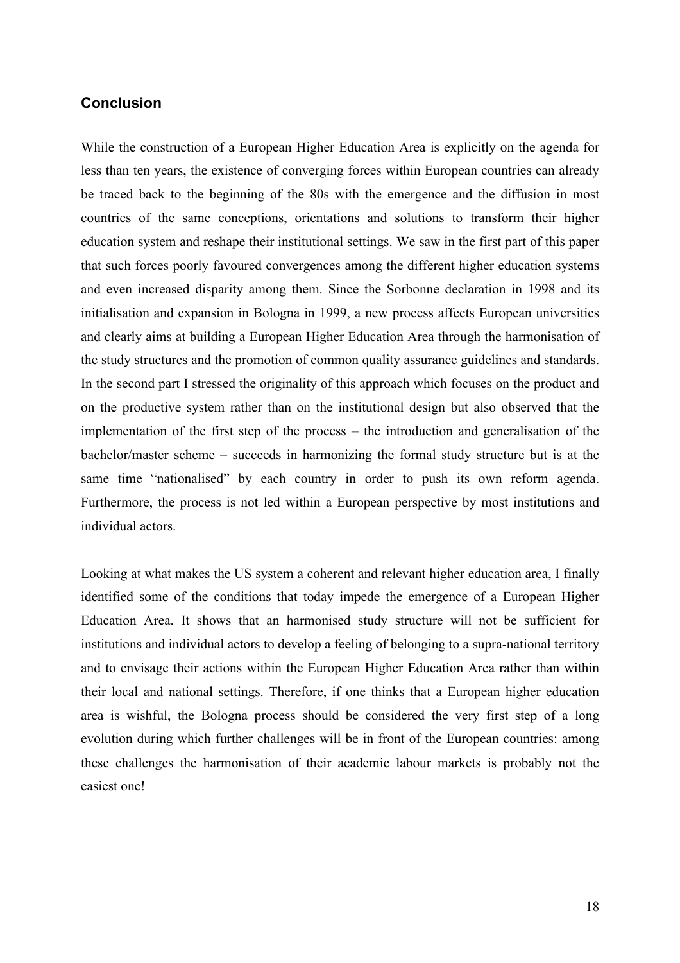## **Conclusion**

While the construction of a European Higher Education Area is explicitly on the agenda for less than ten years, the existence of converging forces within European countries can already be traced back to the beginning of the 80s with the emergence and the diffusion in most countries of the same conceptions, orientations and solutions to transform their higher education system and reshape their institutional settings. We saw in the first part of this paper that such forces poorly favoured convergences among the different higher education systems and even increased disparity among them. Since the Sorbonne declaration in 1998 and its initialisation and expansion in Bologna in 1999, a new process affects European universities and clearly aims at building a European Higher Education Area through the harmonisation of the study structures and the promotion of common quality assurance guidelines and standards. In the second part I stressed the originality of this approach which focuses on the product and on the productive system rather than on the institutional design but also observed that the implementation of the first step of the process – the introduction and generalisation of the bachelor/master scheme – succeeds in harmonizing the formal study structure but is at the same time "nationalised" by each country in order to push its own reform agenda. Furthermore, the process is not led within a European perspective by most institutions and individual actors.

Looking at what makes the US system a coherent and relevant higher education area, I finally identified some of the conditions that today impede the emergence of a European Higher Education Area. It shows that an harmonised study structure will not be sufficient for institutions and individual actors to develop a feeling of belonging to a supra-national territory and to envisage their actions within the European Higher Education Area rather than within their local and national settings. Therefore, if one thinks that a European higher education area is wishful, the Bologna process should be considered the very first step of a long evolution during which further challenges will be in front of the European countries: among these challenges the harmonisation of their academic labour markets is probably not the easiest one!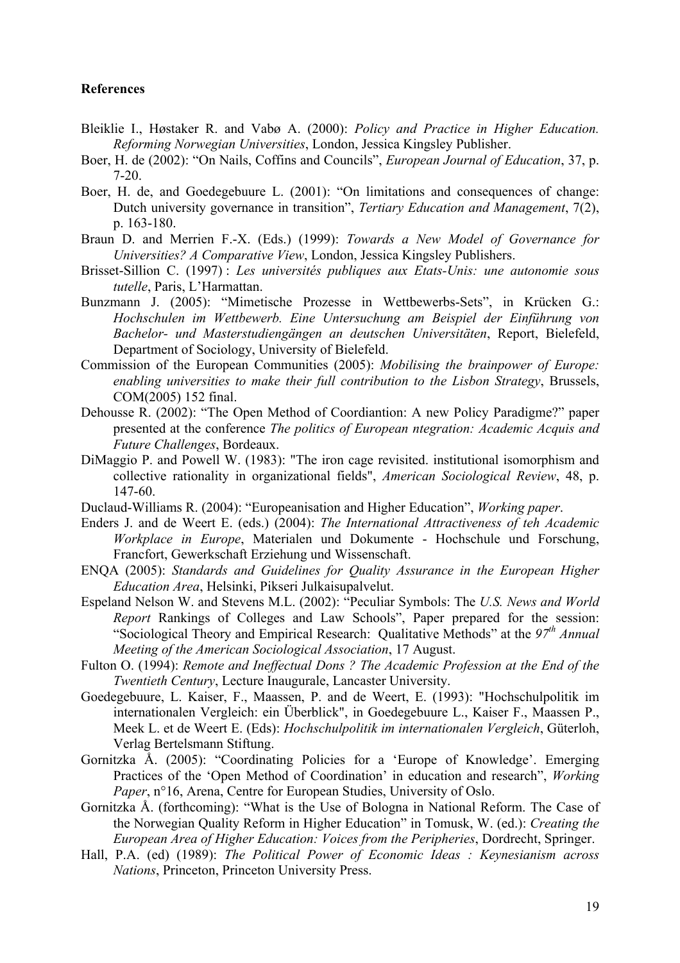### **References**

- Bleiklie I., Høstaker R. and Vabø A. (2000): *Policy and Practice in Higher Education. Reforming Norwegian Universities*, London, Jessica Kingsley Publisher.
- Boer, H. de (2002): "On Nails, Coffins and Councils", *European Journal of Education*, 37, p. 7-20.
- Boer, H. de, and Goedegebuure L. (2001): "On limitations and consequences of change: Dutch university governance in transition", *Tertiary Education and Management*, 7(2), p. 163-180.
- Braun D. and Merrien F.-X. (Eds.) (1999): *Towards a New Model of Governance for Universities? A Comparative View*, London, Jessica Kingsley Publishers.
- Brisset-Sillion C. (1997) : *Les universités publiques aux Etats-Unis: une autonomie sous tutelle*, Paris, L'Harmattan.
- Bunzmann J. (2005): "Mimetische Prozesse in Wettbewerbs-Sets", in Krücken G.: *Hochschulen im Wettbewerb. Eine Untersuchung am Beispiel der Einführung von Bachelor- und Masterstudiengängen an deutschen Universitäten*, Report, Bielefeld, Department of Sociology, University of Bielefeld.
- Commission of the European Communities (2005): *Mobilising the brainpower of Europe: enabling universities to make their full contribution to the Lisbon Strategy*, Brussels, COM(2005) 152 final.
- Dehousse R. (2002): "The Open Method of Coordiantion: A new Policy Paradigme?" paper presented at the conference *The politics of European ntegration: Academic Acquis and Future Challenges*, Bordeaux.
- DiMaggio P. and Powell W. (1983): "The iron cage revisited. institutional isomorphism and collective rationality in organizational fields", *American Sociological Review*, 48, p. 147-60.
- Duclaud-Williams R. (2004): "Europeanisation and Higher Education", *Working paper*.
- Enders J. and de Weert E. (eds.) (2004): *The International Attractiveness of teh Academic Workplace in Europe*, Materialen und Dokumente - Hochschule und Forschung, Francfort, Gewerkschaft Erziehung und Wissenschaft.
- ENQA (2005): *Standards and Guidelines for Quality Assurance in the European Higher Education Area*, Helsinki, Pikseri Julkaisupalvelut.
- Espeland Nelson W. and Stevens M.L. (2002): "Peculiar Symbols: The *U.S. News and World Report* Rankings of Colleges and Law Schools", Paper prepared for the session: "Sociological Theory and Empirical Research: Qualitative Methods" at the *97th Annual Meeting of the American Sociological Association*, 17 August.
- Fulton O. (1994): *Remote and Ineffectual Dons ? The Academic Profession at the End of the Twentieth Century*, Lecture Inaugurale, Lancaster University.
- Goedegebuure, L. Kaiser, F., Maassen, P. and de Weert, E. (1993): "Hochschulpolitik im internationalen Vergleich: ein Überblick", in Goedegebuure L., Kaiser F., Maassen P., Meek L. et de Weert E. (Eds): *Hochschulpolitik im internationalen Vergleich*, Güterloh, Verlag Bertelsmann Stiftung.
- Gornitzka Å. (2005): "Coordinating Policies for a 'Europe of Knowledge'. Emerging Practices of the 'Open Method of Coordination' in education and research", *Working Paper*, n°16, Arena, Centre for European Studies, University of Oslo.
- Gornitzka Å. (forthcoming): "What is the Use of Bologna in National Reform. The Case of the Norwegian Quality Reform in Higher Education" in Tomusk, W. (ed.): *Creating the European Area of Higher Education: Voices from the Peripheries*, Dordrecht, Springer.
- Hall, P.A. (ed) (1989): *The Political Power of Economic Ideas : Keynesianism across Nations*, Princeton, Princeton University Press.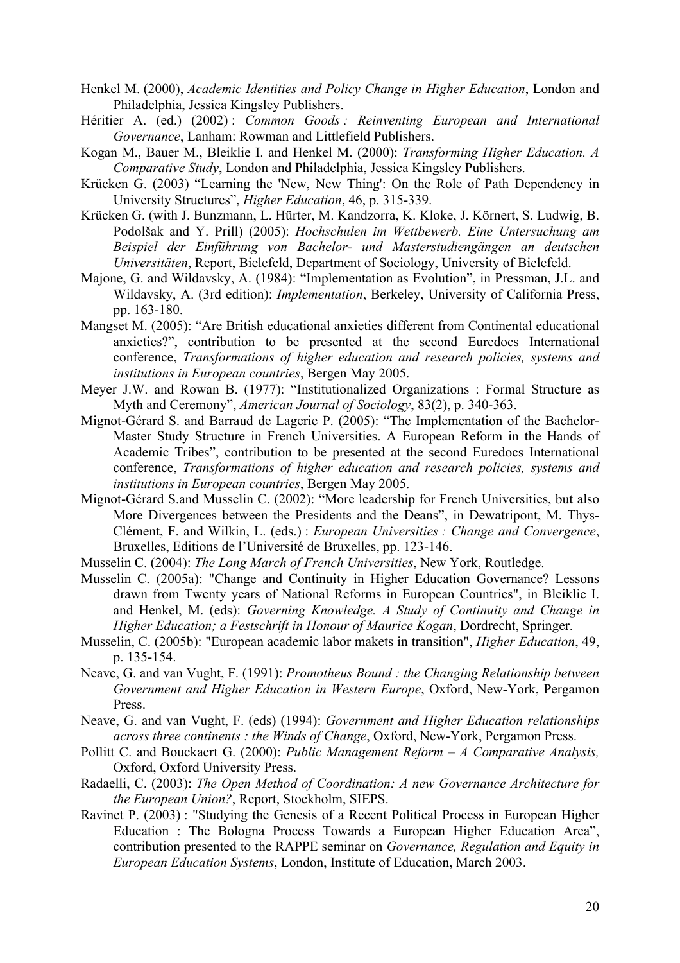- Henkel M. (2000), *Academic Identities and Policy Change in Higher Education*, London and Philadelphia, Jessica Kingsley Publishers.
- Héritier A. (ed.) (2002) : *Common Goods : Reinventing European and International Governance*, Lanham: Rowman and Littlefield Publishers.
- Kogan M., Bauer M., Bleiklie I. and Henkel M. (2000): *Transforming Higher Education. A Comparative Study*, London and Philadelphia, Jessica Kingsley Publishers.
- Krücken G. (2003) "Learning the 'New, New Thing': On the Role of Path Dependency in University Structures", *Higher Education*, 46, p. 315-339.
- Krücken G. (with J. Bunzmann, L. Hürter, M. Kandzorra, K. Kloke, J. Körnert, S. Ludwig, B. Podolšak and Y. Prill) (2005): *Hochschulen im Wettbewerb. Eine Untersuchung am Beispiel der Einführung von Bachelor- und Masterstudiengängen an deutschen Universitäten*, Report, Bielefeld, Department of Sociology, University of Bielefeld.
- Majone, G. and Wildavsky, A. (1984): "Implementation as Evolution", in Pressman, J.L. and Wildavsky, A. (3rd edition): *Implementation*, Berkeley, University of California Press, pp. 163-180.
- Mangset M. (2005): "Are British educational anxieties different from Continental educational anxieties?", contribution to be presented at the second Euredocs International conference, *Transformations of higher education and research policies, systems and institutions in European countries*, Bergen May 2005.
- Meyer J.W. and Rowan B. (1977): "Institutionalized Organizations : Formal Structure as Myth and Ceremony", *American Journal of Sociology*, 83(2), p. 340-363.
- Mignot-Gérard S. and Barraud de Lagerie P. (2005): "The Implementation of the Bachelor-Master Study Structure in French Universities. A European Reform in the Hands of Academic Tribes", contribution to be presented at the second Euredocs International conference, *Transformations of higher education and research policies, systems and institutions in European countries*, Bergen May 2005.
- Mignot-Gérard S.and Musselin C. (2002): "More leadership for French Universities, but also More Divergences between the Presidents and the Deans", in Dewatripont, M. Thys-Clément, F. and Wilkin, L. (eds.) : *European Universities : Change and Convergence*, Bruxelles, Editions de l'Université de Bruxelles, pp. 123-146.
- Musselin C. (2004): *The Long March of French Universities*, New York, Routledge.
- Musselin C. (2005a): "Change and Continuity in Higher Education Governance? Lessons drawn from Twenty years of National Reforms in European Countries", in Bleiklie I. and Henkel, M. (eds): *Governing Knowledge. A Study of Continuity and Change in Higher Education; a Festschrift in Honour of Maurice Kogan*, Dordrecht, Springer.
- Musselin, C. (2005b): "European academic labor makets in transition", *Higher Education*, 49, p. 135-154.
- Neave, G. and van Vught, F. (1991): *Promotheus Bound : the Changing Relationship between Government and Higher Education in Western Europe*, Oxford, New-York, Pergamon Press.
- Neave, G. and van Vught, F. (eds) (1994): *Government and Higher Education relationships across three continents : the Winds of Change*, Oxford, New-York, Pergamon Press.
- Pollitt C. and Bouckaert G. (2000): *Public Management Reform – A Comparative Analysis,*  Oxford, Oxford University Press.
- Radaelli, C. (2003): *The Open Method of Coordination: A new Governance Architecture for the European Union?*, Report, Stockholm, SIEPS.
- Ravinet P. (2003) : "Studying the Genesis of a Recent Political Process in European Higher Education : The Bologna Process Towards a European Higher Education Area", contribution presented to the RAPPE seminar on *Governance, Regulation and Equity in European Education Systems*, London, Institute of Education, March 2003.